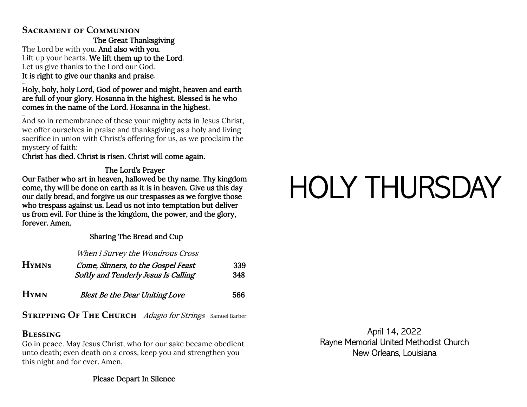# **Sacrament of Communion**

The Great Thanksgiving The Lord be with you. And also with you. Lift up your hearts. We lift them up to the Lord. Let us give thanks to the Lord our God. It is right to give our thanks and praise.

### … Holy, holy, holy Lord, God of power and might, heaven and earth are full of your glory. Hosanna in the highest. Blessed is he who comes in the name of the Lord. Hosanna in the highest.

… And so in remembrance of these your mighty acts in Jesus Christ, we offer ourselves in praise and thanksgiving as a holy and living sacrifice in union with Christ's offering for us, as we proclaim the mystery of faith:

## Christ has died. Christ is risen. Christ will come again.

# The Lord's Prayer

Our Father who art in heaven, hallowed be thy name. Thy kingdom come, thy will be done on earth as it is in heaven. Give us this day our daily bread, and forgive us our trespasses as we forgive those who trespass against us. Lead us not into temptation but deliver us from evil. For thine is the kingdom, the power, and the glory, forever. Amen.

## Sharing The Bread and Cup

When I Survey the Wondrous Cross

| <b>HYMNS</b> | Come, Sinners, to the Gospel Feast<br>Softly and Tenderly Jesus Is Calling | 339<br>348 |
|--------------|----------------------------------------------------------------------------|------------|
| <b>H</b> YMN | <b>Blest Be the Dear Uniting Love</b>                                      | 566        |

**STRIPPING OF THE CHURCH** *Adagio for Strings* Samuel Barber

# **Blessing**

Go in peace. May Jesus Christ, who for our sake became obedient unto death; even death on a cross, keep you and strengthen you this night and for ever. Amen.

Please Depart In Silence

# HOLY THURSDAY

April 14, 2022 Rayne Memorial United Methodist Church New Orleans, Louisiana